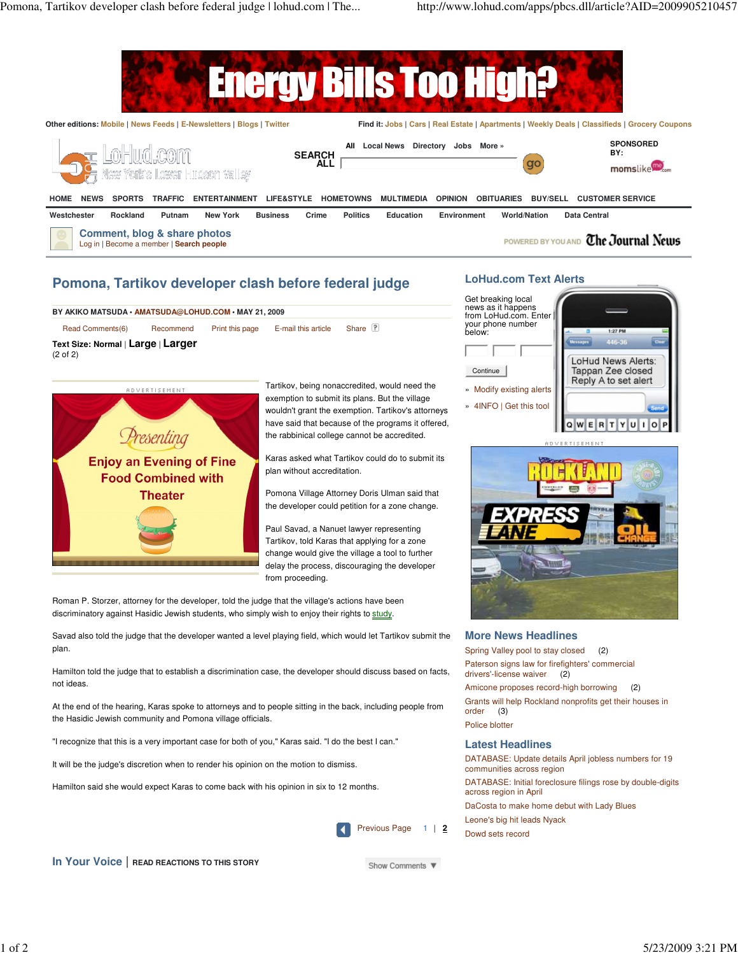

# **Pomona, Tartikov developer clash before federal judge**

# Read Comments(6) Recommend Print this page E-mail this article Share **BY AKIKO MATSUDA • AMATSUDA@LOHUD.COM • MAY 21, 2009**

(2 of 2) **Text Size: Normal** | **Large** | **Larger**



Tartikov, being nonaccredited, would need the exemption to submit its plans. But the village wouldn't grant the exemption. Tartikov's attorneys have said that because of the programs it offered, the rabbinical college cannot be accredited.

Karas asked what Tartikov could do to submit its plan without accreditation.

Pomona Village Attorney Doris Ulman said that the developer could petition for a zone change.

Paul Savad, a Nanuet lawyer representing Tartikov, told Karas that applying for a zone change would give the village a tool to further delay the process, discouraging the developer from proceeding.

Roman P. Storzer, attorney for the developer, told the judge that the village's actions have been discriminatory against Hasidic Jewish students, who simply wish to enjoy their rights to study.

Savad also told the judge that the developer wanted a level playing field, which would let Tartikov submit the plan.

Hamilton told the judge that to establish a discrimination case, the developer should discuss based on facts, not ideas.

At the end of the hearing, Karas spoke to attorneys and to people sitting in the back, including people from the Hasidic Jewish community and Pomona village officials.

"I recognize that this is a very important case for both of you," Karas said. "I do the best I can."

It will be the judge's discretion when to render his opinion on the motion to dismiss.

Hamilton said she would expect Karas to come back with his opinion in six to 12 months.



**In Your Voice** | **READ REACTIONS TO THIS STORY**

Show Comments ▼

## **LoHud.com Text Alerts**



**ADVERTISEMEN** 



## **More News Headlines**

Spring Valley pool to stay closed (2) Paterson signs law for firefighters' commercial drivers'-license waiver (2)

Amicone proposes record-high borrowing (2) Grants will help Rockland nonprofits get their houses in order (3) Police blotter

# **Latest Headlines**

DATABASE: Update details April jobless numbers for 19 communities across region DATABASE: Initial foreclosure filings rose by double-digits across region in April DaCosta to make home debut with Lady Blues Leone's big hit leads Nyack

Dowd sets record